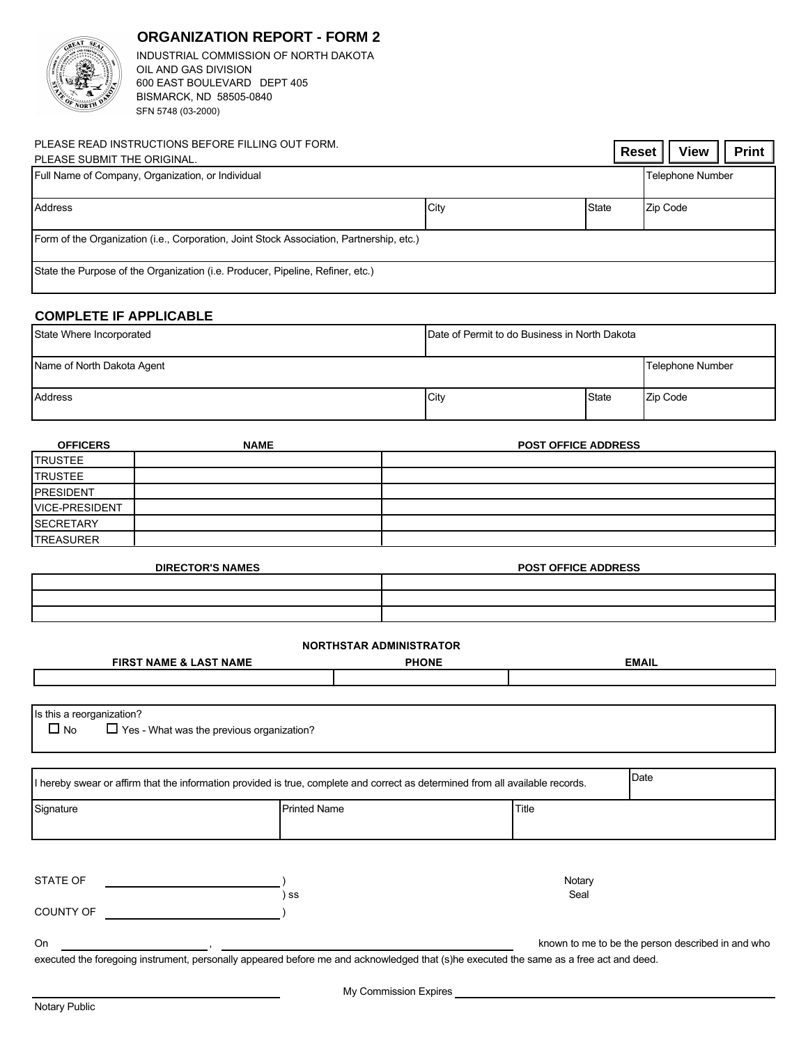## **ORGANIZATION REPORT - FORM 2**



INDUSTRIAL COMMISSION OF NORTH DAKOTA OIL AND GAS DIVISION 600 EAST BOULEVARD DEPT 405 SFN 5748 (03-2000) BISMARCK, ND 58505-0840

| PLEASE READ INSTRUCTIONS BEFORE FILLING OUT FORM.<br>PLEASE SUBMIT THE ORIGINAL.                                                       |                                                                                                                                        |  |                |                                               |              |              | Reset | <b>View</b>                                       | Print |  |
|----------------------------------------------------------------------------------------------------------------------------------------|----------------------------------------------------------------------------------------------------------------------------------------|--|----------------|-----------------------------------------------|--------------|--------------|-------|---------------------------------------------------|-------|--|
| Full Name of Company, Organization, or Individual                                                                                      |                                                                                                                                        |  |                |                                               |              |              |       | Telephone Number                                  |       |  |
| Address                                                                                                                                |                                                                                                                                        |  |                | City                                          |              | <b>State</b> |       | Zip Code                                          |       |  |
| Form of the Organization (i.e., Corporation, Joint Stock Association, Partnership, etc.)                                               |                                                                                                                                        |  |                |                                               |              |              |       |                                                   |       |  |
| State the Purpose of the Organization (i.e. Producer, Pipeline, Refiner, etc.)                                                         |                                                                                                                                        |  |                |                                               |              |              |       |                                                   |       |  |
| <b>COMPLETE IF APPLICABLE</b>                                                                                                          |                                                                                                                                        |  |                |                                               |              |              |       |                                                   |       |  |
| State Where Incorporated                                                                                                               |                                                                                                                                        |  |                | Date of Permit to do Business in North Dakota |              |              |       |                                                   |       |  |
| Name of North Dakota Agent                                                                                                             |                                                                                                                                        |  |                | Telephone Number                              |              |              |       |                                                   |       |  |
| Address                                                                                                                                |                                                                                                                                        |  |                | City                                          | <b>State</b> |              |       | Zip Code                                          |       |  |
| <b>OFFICERS</b>                                                                                                                        | <b>NAME</b>                                                                                                                            |  |                | <b>POST OFFICE ADDRESS</b>                    |              |              |       |                                                   |       |  |
| <b>TRUSTEE</b>                                                                                                                         |                                                                                                                                        |  |                |                                               |              |              |       |                                                   |       |  |
| <b>TRUSTEE</b>                                                                                                                         |                                                                                                                                        |  |                |                                               |              |              |       |                                                   |       |  |
| <b>PRESIDENT</b>                                                                                                                       |                                                                                                                                        |  |                |                                               |              |              |       |                                                   |       |  |
| <b>VICE-PRESIDENT</b>                                                                                                                  |                                                                                                                                        |  |                |                                               |              |              |       |                                                   |       |  |
| <b>SECRETARY</b>                                                                                                                       |                                                                                                                                        |  |                |                                               |              |              |       |                                                   |       |  |
| <b>TREASURER</b>                                                                                                                       |                                                                                                                                        |  |                |                                               |              |              |       |                                                   |       |  |
| <b>DIRECTOR'S NAMES</b>                                                                                                                |                                                                                                                                        |  |                | <b>POST OFFICE ADDRESS</b>                    |              |              |       |                                                   |       |  |
|                                                                                                                                        |                                                                                                                                        |  |                |                                               |              |              |       |                                                   |       |  |
|                                                                                                                                        |                                                                                                                                        |  |                |                                               |              |              |       |                                                   |       |  |
| <b>NORTHSTAR ADMINISTRATOR</b>                                                                                                         |                                                                                                                                        |  |                |                                               |              |              |       |                                                   |       |  |
| <b>FIRST NAME &amp; LAST NAME</b>                                                                                                      |                                                                                                                                        |  | <b>PHONE</b>   |                                               |              | <b>EMAIL</b> |       |                                                   |       |  |
|                                                                                                                                        |                                                                                                                                        |  |                |                                               |              |              |       |                                                   |       |  |
|                                                                                                                                        |                                                                                                                                        |  |                |                                               |              |              |       |                                                   |       |  |
| Is this a reorganization?<br>$\blacksquare$<br>$\sqcup$ No                                                                             | $\Box$ Yes - What was the previous organization?                                                                                       |  |                |                                               |              |              |       |                                                   |       |  |
| Date<br>I hereby swear or affirm that the information provided is true, complete and correct as determined from all available records. |                                                                                                                                        |  |                |                                               |              |              |       |                                                   |       |  |
|                                                                                                                                        |                                                                                                                                        |  |                |                                               |              |              |       |                                                   |       |  |
| <b>Printed Name</b><br>Signature                                                                                                       |                                                                                                                                        |  | Title          |                                               |              |              |       |                                                   |       |  |
|                                                                                                                                        |                                                                                                                                        |  |                |                                               |              |              |       |                                                   |       |  |
| STATE OF<br>) ss                                                                                                                       |                                                                                                                                        |  | Notary<br>Seal |                                               |              |              |       |                                                   |       |  |
| COUNTY OF                                                                                                                              |                                                                                                                                        |  |                |                                               |              |              |       |                                                   |       |  |
| On                                                                                                                                     |                                                                                                                                        |  |                |                                               |              |              |       | known to me to be the person described in and who |       |  |
|                                                                                                                                        | executed the foregoing instrument, personally appeared before me and acknowledged that (s)he executed the same as a free act and deed. |  |                |                                               |              |              |       |                                                   |       |  |